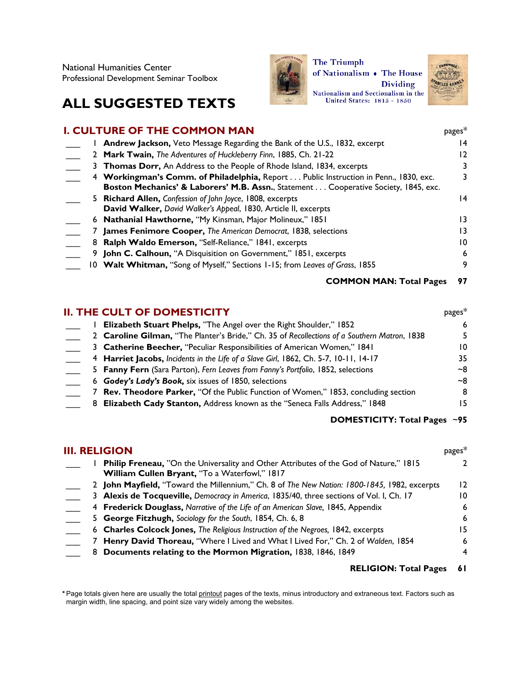National Humanities Center Professional Development Seminar Toolbox

## **ALL SUGGESTED TEXTS**



**The Triumph** of Nationalism • The House **Dividing** Nationalism and Sectionalism in the United States: 1815 - 1850



#### **I. CULTURE OF THE COMMON MAN** pages\* 1 **Andrew Jackson,** Veto Message Regarding the Bank of the U.S., 1832, excerpt 14 \_\_\_ 2 **Mark Twain,** *The Adventures of Huckleberry Finn*, 1885, Ch. 21-22 12 \_\_\_ 3 **Thomas Dorr,** An Address to the People of Rhode Island, 1834, excerpts 3 \_\_\_ 4 **Workingman's Comm. of Philadelphia,** Report . . . Public Instruction in Penn., 1830, exc. **Boston Mechanics' & Laborers' M.B. Assn.**, Statement . . . Cooperative Society, 1845, exc. 3 \_\_\_ 5 **Richard Allen,** *Confession of John Joyce*, 1808, excerpts **David Walker,** *David Walker's Appeal*, 1830, Article II, excerpts 14 \_\_\_ 6 **Nathanial Hawthorne,** "My Kinsman, Major Molineux," 1851 13 \_\_\_ 7 **James Fenimore Cooper,** *The American Democrat*, 1838, selections 13 \_\_\_ 8 **Ralph Waldo Emerson,** "Self-Reliance," 1841, excerpts 10 \_\_\_ 9 **John C. Calhoun,** "A Disquisition on Government," 1851, excerpts 6 \_\_\_ 10 **Walt Whitman,** "Song of Myself," Sections 1-15; from *Leaves of Grass*, 1855 9

#### **COMMON MAN: Total Pages 97**

## **II. THE CULT OF DOMESTICITY** *pages\**

|  | <b>Elizabeth Stuart Phelps, "The Angel over the Right Shoulder," 1852</b>                    | 6   |
|--|----------------------------------------------------------------------------------------------|-----|
|  | 2 Caroline Gilman, "The Planter's Bride," Ch. 35 of Recollections of a Southern Matron, 1838 |     |
|  | 3 Catherine Beecher, "Peculiar Responsibilities of American Women," 1841                     | 10. |
|  | 4 Harriet Jacobs, Incidents in the Life of a Slave Girl, 1862, Ch. 5-7, 10-11, 14-17         | 35. |
|  | 5 Fanny Fern (Sara Parton), Fern Leaves from Fanny's Portfolio, 1852, selections             | ~8  |
|  | 6 Godey's Lady's Book, six issues of 1850, selections                                        | ~8  |
|  | 7 Rev. Theodore Parker, "Of the Public Function of Women," 1853, concluding section          | 8   |
|  | 8 Elizabeth Cady Stanton, Address known as the "Seneca Falls Address," 1848                  |     |

#### **DOMESTICITY: Total Pages** ~**95**

|  | <b>III. RELIGION</b>                                                                                                                          | $pages*$ |
|--|-----------------------------------------------------------------------------------------------------------------------------------------------|----------|
|  | <b>Philip Freneau, "On the Universality and Other Attributes of the God of Nature," 1815</b><br>William Cullen Bryant, "To a Waterfowl," 1817 | 2        |
|  | 2 John Mayfield, "Toward the Millennium," Ch. 8 of The New Nation: 1800-1845, 1982, excerpts                                                  | 12       |
|  | 3 Alexis de Tocqueville, Democracy in America, 1835/40, three sections of Vol. I, Ch. 17                                                      | 10       |
|  | 4 Frederick Douglass, Narrative of the Life of an American Slave, 1845, Appendix                                                              | 6        |
|  | 5 George Fitzhugh, Sociology for the South, 1854, Ch. 6, 8                                                                                    | 6        |
|  | 6 Charles Colcock Jones, The Religious Instruction of the Negroes, 1842, excerpts                                                             | 15       |
|  | 7 Henry David Thoreau, "Where I Lived and What I Lived For," Ch. 2 of Walden, 1854                                                            | 6        |
|  | 8 Documents relating to the Mormon Migration, 1838, 1846, 1849                                                                                |          |

#### **RELIGION: Total Pages 61**

**\*** Page totals given here are usually the total printout pages of the texts, minus introductory and extraneous text. Factors such as margin width, line spacing, and point size vary widely among the websites.